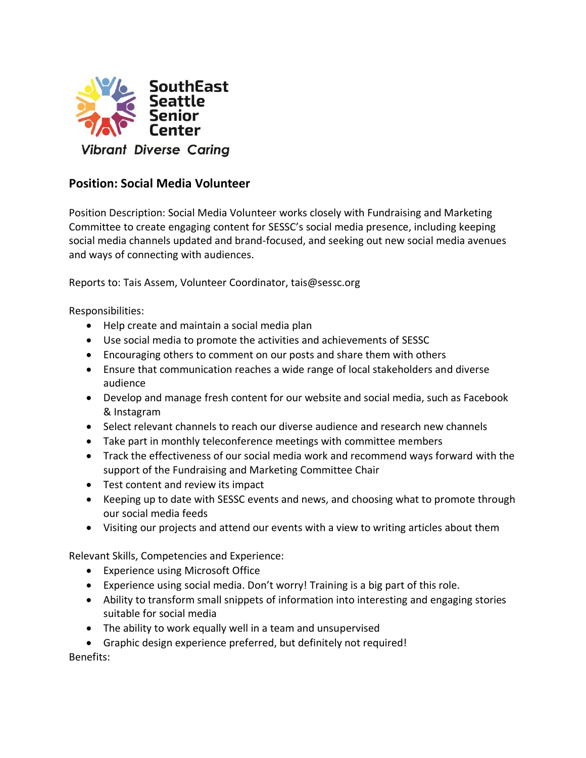

## **Position: Social Media Volunteer**

Position Description: Social Media Volunteer works closely with Fundraising and Marketing Committee to create engaging content for SESSC's social media presence, including keeping social media channels updated and brand-focused, and seeking out new social media avenues and ways of connecting with audiences.

Reports to: Tais Assem, Volunteer Coordinator, tais@sessc.org

Responsibilities:

- Help create and maintain a social media plan
- Use social media to promote the activities and achievements of SESSC
- Encouraging others to comment on our posts and share them with others
- Ensure that communication reaches a wide range of local stakeholders and diverse audience
- Develop and manage fresh content for our website and social media, such as Facebook & Instagram
- Select relevant channels to reach our diverse audience and research new channels
- Take part in monthly teleconference meetings with committee members
- Track the effectiveness of our social media work and recommend ways forward with the support of the Fundraising and Marketing Committee Chair
- Test content and review its impact
- Keeping up to date with SESSC events and news, and choosing what to promote through our social media feeds
- Visiting our projects and attend our events with a view to writing articles about them

Relevant Skills, Competencies and Experience:

- Experience using Microsoft Office
- Experience using social media. Don't worry! Training is a big part of this role.
- Ability to transform small snippets of information into interesting and engaging stories suitable for social media
- The ability to work equally well in a team and unsupervised
- Graphic design experience preferred, but definitely not required!

Benefits: